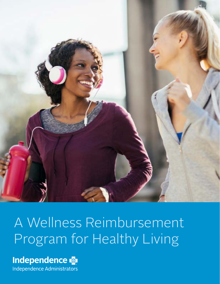

# A Wellness Reimbursement Program for Healthy Living

### Independence

Independence Administrators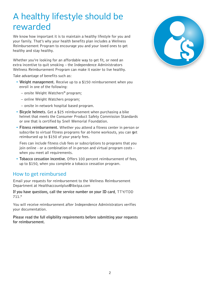### A healthy lifestyle should be rewarded

We know how important it is to maintain a healthy lifestyle for you and your family. That's why your health benefits plan includes a Wellness Reimbursement Program to encourage you and your loved ones to get healthy and stay healthy.

Whether you're looking for an affordable way to get fit, or need an extra incentive to quit smoking – the Independence Administrators Wellness Reimbursement Program can make it easier to live healthy.

Take advantage of benefits such as:

- **Weight management.** Receive up to a \$150 reimbursement when you enroll in one of the following:
	- onsite Weight Watchers® program;
	- online Weight Watchers program;
	- onsite in-network hospital based program.
- **Bicycle helmets.** Get a \$25 reimbursement when purchasing a bike helmet that meets the Consumer Product Safety Commission Standards or one that is certified by Snell Memorial Foundation.
- **Fitness reimbursement.** Whether you attend a fitness center in person or subscribe to virtual fitness programs for at-home workouts, you can **g**et reimbursed up to \$150 of your yearly fees.

Fees can include fitness club fees or subscriptions to programs that you join online - or a combination of in-person and virtual program costs when you meet all requirements.

• **Tobacco cessation incentive.** Offers 100 percent reimbursement of fees, up to \$150, when you complete a tobacco cessation program.

### How to get reimbursed

Email your requests for reimbursement to the Wellness Reimbursement Department at Healthaccountplus@ibxtpa.com

**If you have questions, call the service number on your ID card**, TTY/TDD 711.\*

You will receive reimbursement after Independence Administrators verifies your documentation.

**Please read the full eligibility requirements before submitting your requests for reimbursement.** 

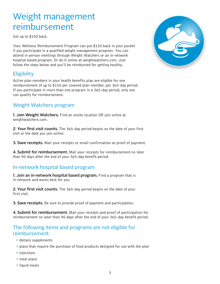### Weight management reimbursement

Get up to \$150 back.

Your Wellness Reimbursement Program can put \$150 back in your pocket if you participate in a qualified weight management program. You can attend in-person meetings through Weight Watchers or an in-network hospital based program. Or do it online at weightwatchers.com. Just follow the steps below and you'll be reimbursed for getting healthy.

### **Eligibility**

Active plan members in your health benefits plan are eligible for one reimbursement of up to \$150 per covered plan member, per 365-day period. If you participate in more than one program in a 365-day period, only one can qualify for reimbursement.

### Weight Watchers program

1. Join Weight Watchers. Find an onsite location OR join online at weightwatchers.com.

2. Your first visit counts. The 365-day period begins on the date of your first visit or the date you join online.

**3. Save receipts.** Mail your receipts or email confirmation as proof of payment.

4. Submit for reimbursement. Mail your receipts for reimbursement no later than 90 days after the end of your 365-day benefit period.

### In-network hospital based program

1. Join an in-network hospital based program. Find a program that is in-network and works best for you.

**2. Your first visit counts.** The 365-day period begins on the date of your first visit.

3. Save receipts. Be sure to provide proof of payment and participation.

4. Submit for reimbursement. Mail your receipts and proof of participation for reimbursement no later than 90 days after the end of your 365-day benefit period.

### The following items and programs are not eligible for reimbursement:

- dietary supplements
- plans that require the purchase of food products designed for use with the plan
- injections
- meal plans
- liquid meals

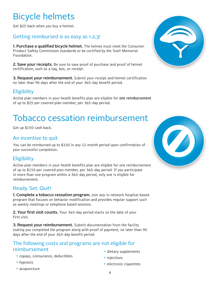## Bicycle helmets

Get \$25 back when you buy a helmet.

### Getting reimbursed is as easy as 1,2,3!

**1. Purchase a qualified bicycle helmet.** The helmet must meet the Consumer Product Safety Commission standards or be certified by the Snell Memorial Foundation.

2. Save your receipts. Be sure to save proof of purchase and proof of helmet certification, such as a tag, box, or receipt.

**3. Request your reimbursement.** Submit your receipt and helmet certification no later than 90 days after the end of your 365-day benefit period.

### **Eligibility**

Active plan members in your health benefits plan are eligible for **one reimbursement**  of up to \$25 per covered plan member, per 365-day period.

## Tobacco cessation reimbursement

Get up \$150 cash back.

### An incentive to quit

You can be reimbursed up to \$150 in any 12-month period upon confirmation of your successful completion.

### **Eligibility**

Active plan members in your health benefits plan are eligible for one reimbursement of up to \$150 per covered plan member, per 365-day period. If you participate in more than one program within a 365-day period, only one is eligible for reimbursement.

### Ready. Set. Quit!

1. Complete a tobacco cessation program. Join any in-network hospital-based program that focuses on behavior modification and provides regular support such as weekly meetings or telephone based sessions.

2. Your first visit counts. Your 365-day period starts on the date of your first visit.

**3. Request your reimbursement.** Submit documentation from the facility stating you completed the program along with proof of payment, no later than 90 days after the end of your 365-day benefit period.

### The following costs and programs are not eligible for reimbursement

- copays, coinsurance, deductibles
- hypnosis
- acupuncture





- dietary supplements
- injections
- electronic cigarettes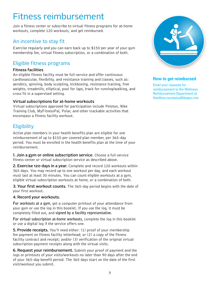### Fitness reimbursement

Join a fitness center or subscribe to virtual fitness programs for at-home workouts, complete 120 workouts, and get reimbursed.

### An incentive to stay fit

Exercise regularly and you can earn back up to \$150 per year of your gym membership fee, virtual fitness subscription, or a combination of both.

### Eligible fitness programs

#### Fitness facilities

An eligible fitness facility must be full-service and offer continuous cardiovascular, flexibility, and resistance training and classes, such as: aerobics, spinning, body sculpting, kickboxing, resistance training, free weights, treadmills, elliptical, pool for laps, track for running/walking, and cross fit in a supervised setting.

#### Virtual subscriptions for at-home workouts

Virtual subscriptions approved for participation include Peloton, Nike Training Club, MyFitnessPal, Polar, and other trackable activities that encompass a fitness facility workout.

### **Eligibility**

Active plan members in your health benefits plan are eligible for one reimbursement of up to \$150 per covered plan member, per 365-day period. You must be enrolled in the health benefits plan at the time of your reimbursement.

1. Join a gym or online subscription service**.** Choose a full-service fitness center or virtual subscription service as described above.

2. Exercise 120 days in a year. Complete and record 120 workouts within 365 days. You may record up to one workout per day, and each workout must last at least 30 minutes. You can count eligible workouts at a gym, eligible virtual subscription workouts at home, or a combination of both.

**3. Your first workout counts.** The 365-day period begins with the date of your first workout.

#### 4. Record your workouts.

**For workouts at a gym**, get a computer printout of your attendance from your gym or use the log in this booklet. If you use the log, it must be completely filled out, and **signed by a facility representative.**

**For virtual subscription at-home workouts**, complete the log in this booklet or use a digital log if the service offers one.

**5. Provide receipts.** You'll need either: (1) proof of your membership fee payment on fitness facility letterhead; or (2) a copy of the fitness facility contract and receipt; and/or (3) verification of the original virtual subscription payment receipts along with the virtual visits.

6. Request your reimbursement. Submit your proof of payment and the logs or printouts of your visits/workouts no later than 90 days after the end of your 365-day benefit period. The 365 days start on the date of the first visit/workout you submit.



#### **How to get reimbursed**

Email your requests for reimbursement to the Wellness Reimbursement Department at Healthaccountplus@ibxtpa.com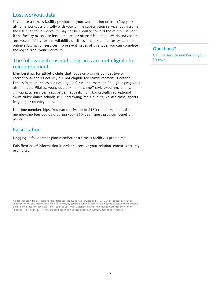### Lost workout data

If you use a fitness facility printout as your workout log or track/log your at-home workouts digitally with your online subscription service, you assume the risk that some workouts may not be credited toward the reimbursement if the facility or service has computer or other difficulties. We do not assume any responsibility for the reliability of fitness facility computer systems or online subscription services. To prevent issues of this type, you can complete the log to track your workouts.

### The following items and programs are not eligible for reimbursement:

Memberships for athletic clubs that focus on a single competitive or recreational sports activity are not eligible for reimbursement. Personal fitness instructor fees are not eligible for reimbursement. Ineligible programs also include: Pilates; yoga; outdoor "boot camp" style program; tennis; chiropractic services; racquetball; squash; golf; basketball; recreational swim clubs; dance school; sculling/rowing; martial arts; karate class; sports leagues; or country clubs.

**Lifetime memberships.** You can receive up to \$150 reimbursement of the membership fees you paid during your 365-day fitness program benefit period.

### Falsification

Logging in for another plan member at a fitness facility is prohibited.

Falsification of information in order to receive your reimbursement is strictly prohibited.

\*Independence Administrators has free telephone language-line services and TTY/TDD for the deaf or hearing impaired. If you or a member you know has difficulty communicating because of an inability to speak or understand English and needs language assistance, call the Customer Experience number on your ID Card (for the hearing impaired: TTY/TDD 711). Follow the prompts or wait to speak with a Customer Experience Advocate.

#### Questions?

Call the service number on your ID card.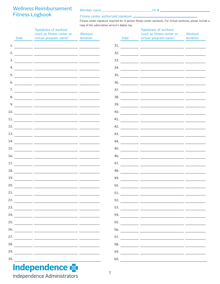### Wellness Reimbursement Fitness Logbook

Member name ID #

Fitness center authorized signature  $\equiv$ Fitness center signature required for in-person fitness center workouts. For virtual workouts, please include a copy of the subscription service's digital log.

|     | Date | Type/place of workout<br>(such as fitness center or<br>virtual program name)                                                                                                                                                                                                                                                                                                                                     | Workout<br>duration | Date | Type/place of workout<br>(such as fitness center or<br>virtual program name)                                                                                                                                                                                                                                                                                  | Workout<br>duration |
|-----|------|------------------------------------------------------------------------------------------------------------------------------------------------------------------------------------------------------------------------------------------------------------------------------------------------------------------------------------------------------------------------------------------------------------------|---------------------|------|---------------------------------------------------------------------------------------------------------------------------------------------------------------------------------------------------------------------------------------------------------------------------------------------------------------------------------------------------------------|---------------------|
|     |      |                                                                                                                                                                                                                                                                                                                                                                                                                  |                     | 31.  |                                                                                                                                                                                                                                                                                                                                                               |                     |
|     |      |                                                                                                                                                                                                                                                                                                                                                                                                                  |                     |      | $\frac{32.}{\frac{32.}{\frac{32.}{\frac{32.}{\frac{32.}{\frac{32.}{\frac{32.}{\frac{32.}{\frac{32.}{\frac{32.}{\frac{32.}{\frac{32.}{\frac{32.}{\frac{32.}{\frac{32.}{\frac{32.}{\frac{32.}{\frac{32.}{\frac{32.}{\frac{32.}{\frac{32.}{\frac{32.}{\frac{32.}{\frac{32.}{\frac{32.}{\frac{32.}{\frac{32.}{\frac{32.}{\frac{32.}{\frac{32.}{\frac{32.}{\frac{$ |                     |
|     |      | $\frac{3.1}{2}$ and $\frac{3.1}{2}$ and $\frac{3.1}{2}$ and $\frac{3.1}{2}$ and $\frac{3.1}{2}$ and $\frac{3.1}{2}$ and $\frac{3.1}{2}$ and $\frac{3.1}{2}$ and $\frac{3.1}{2}$ and $\frac{3.1}{2}$ and $\frac{3.1}{2}$ and $\frac{3.1}{2}$ and $\frac{3.1}{2}$ and $\frac{3.1}{2}$ a                                                                                                                            |                     |      | $\frac{33.}{\sqrt{25}}$                                                                                                                                                                                                                                                                                                                                       |                     |
| 4.  |      |                                                                                                                                                                                                                                                                                                                                                                                                                  |                     |      |                                                                                                                                                                                                                                                                                                                                                               |                     |
| 5.  |      |                                                                                                                                                                                                                                                                                                                                                                                                                  |                     |      |                                                                                                                                                                                                                                                                                                                                                               |                     |
|     |      |                                                                                                                                                                                                                                                                                                                                                                                                                  |                     | 36.  |                                                                                                                                                                                                                                                                                                                                                               |                     |
|     |      |                                                                                                                                                                                                                                                                                                                                                                                                                  |                     |      | $\frac{37.}{\frac{37.}{\frac{37.}{27.5}} \frac{37.}{\frac{37.}{27.5}} \frac{37.}{\frac{37.}{27.5}} \frac{37.}{\frac{37.}{27.5}}$                                                                                                                                                                                                                              |                     |
|     |      |                                                                                                                                                                                                                                                                                                                                                                                                                  |                     |      |                                                                                                                                                                                                                                                                                                                                                               |                     |
|     |      | 9. $\frac{1}{\sqrt{1-\frac{1}{2}}\sqrt{1-\frac{1}{2}}\sqrt{1-\frac{1}{2}}\sqrt{1-\frac{1}{2}}\sqrt{1-\frac{1}{2}}\sqrt{1-\frac{1}{2}}\sqrt{1-\frac{1}{2}}\sqrt{1-\frac{1}{2}}\sqrt{1-\frac{1}{2}}\sqrt{1-\frac{1}{2}}\sqrt{1-\frac{1}{2}}\sqrt{1-\frac{1}{2}}\sqrt{1-\frac{1}{2}}\sqrt{1-\frac{1}{2}}\sqrt{1-\frac{1}{2}}\sqrt{1-\frac{1}{2}}\sqrt{1-\frac{1}{2}}\sqrt{1-\frac{1}{2}}\sqrt{1-\frac{1}{2}}\sqrt{$ |                     |      |                                                                                                                                                                                                                                                                                                                                                               |                     |
| 10. |      |                                                                                                                                                                                                                                                                                                                                                                                                                  |                     |      | $\overline{40}$ .                                                                                                                                                                                                                                                                                                                                             |                     |
| 11. |      |                                                                                                                                                                                                                                                                                                                                                                                                                  |                     |      |                                                                                                                                                                                                                                                                                                                                                               |                     |
| 12. |      |                                                                                                                                                                                                                                                                                                                                                                                                                  |                     |      |                                                                                                                                                                                                                                                                                                                                                               |                     |
|     |      |                                                                                                                                                                                                                                                                                                                                                                                                                  |                     |      |                                                                                                                                                                                                                                                                                                                                                               |                     |
|     |      |                                                                                                                                                                                                                                                                                                                                                                                                                  |                     |      |                                                                                                                                                                                                                                                                                                                                                               |                     |
| 15. |      |                                                                                                                                                                                                                                                                                                                                                                                                                  |                     |      | $\frac{45.}{\frac{1}{25.60}}$                                                                                                                                                                                                                                                                                                                                 |                     |
| 16. |      |                                                                                                                                                                                                                                                                                                                                                                                                                  |                     | 46.  |                                                                                                                                                                                                                                                                                                                                                               |                     |
|     |      |                                                                                                                                                                                                                                                                                                                                                                                                                  |                     |      |                                                                                                                                                                                                                                                                                                                                                               |                     |
| 18. |      |                                                                                                                                                                                                                                                                                                                                                                                                                  |                     | 48.  |                                                                                                                                                                                                                                                                                                                                                               |                     |
| 19. |      | <u> 1989 - Johann Stein, mars an deus an deus an deus an deus an deus an deus an deus an deus an deus an deus an</u>                                                                                                                                                                                                                                                                                             |                     | 49.  |                                                                                                                                                                                                                                                                                                                                                               |                     |
|     |      |                                                                                                                                                                                                                                                                                                                                                                                                                  |                     | 50.  |                                                                                                                                                                                                                                                                                                                                                               |                     |
|     |      |                                                                                                                                                                                                                                                                                                                                                                                                                  |                     |      |                                                                                                                                                                                                                                                                                                                                                               |                     |
| 22. |      |                                                                                                                                                                                                                                                                                                                                                                                                                  |                     |      |                                                                                                                                                                                                                                                                                                                                                               |                     |
|     |      |                                                                                                                                                                                                                                                                                                                                                                                                                  |                     | 53.  |                                                                                                                                                                                                                                                                                                                                                               |                     |
| 24. |      |                                                                                                                                                                                                                                                                                                                                                                                                                  |                     |      |                                                                                                                                                                                                                                                                                                                                                               |                     |
| 25. |      | <u> 1989 - Andrea Andrew Maria (h. 1989).</u>                                                                                                                                                                                                                                                                                                                                                                    |                     |      |                                                                                                                                                                                                                                                                                                                                                               |                     |
| 26. |      |                                                                                                                                                                                                                                                                                                                                                                                                                  |                     | 56.  |                                                                                                                                                                                                                                                                                                                                                               |                     |
| 27. |      |                                                                                                                                                                                                                                                                                                                                                                                                                  |                     | 57.  |                                                                                                                                                                                                                                                                                                                                                               |                     |
| 28. |      |                                                                                                                                                                                                                                                                                                                                                                                                                  |                     |      |                                                                                                                                                                                                                                                                                                                                                               |                     |
| 29. |      |                                                                                                                                                                                                                                                                                                                                                                                                                  |                     | 59.  |                                                                                                                                                                                                                                                                                                                                                               |                     |
| 30. |      |                                                                                                                                                                                                                                                                                                                                                                                                                  |                     | 60.  |                                                                                                                                                                                                                                                                                                                                                               |                     |

Independence Administrators